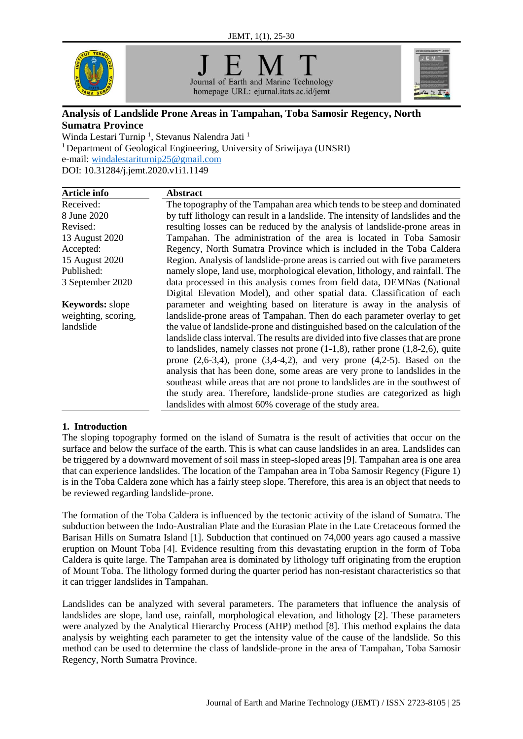

Journal of Earth and Marine Technology homepage URL: ejurnal.itats.ac.id/jemt



# **Analysis of Landslide Prone Areas in Tampahan, Toba Samosir Regency, North Sumatra Province**

Winda Lestari Turnip<sup>1</sup>, Stevanus Nalendra Jati<sup>1</sup> <sup>1</sup> Department of Geological Engineering, University of Sriwijaya (UNSRI) e-mail: [windalestariturnip2](mailto:avellyn@itats.ac.id)5@gmail.com DOI: 10.31284/j.jemt.2020.v1i1.1149

| Article info           | <b>Abstract</b>                                                                      |
|------------------------|--------------------------------------------------------------------------------------|
| Received:              | The topography of the Tampahan area which tends to be steep and dominated            |
| 8 June 2020            | by tuff lithology can result in a landslide. The intensity of landslides and the     |
| Revised:               | resulting losses can be reduced by the analysis of landslide-prone areas in          |
| 13 August 2020         | Tampahan. The administration of the area is located in Toba Samosir                  |
| Accepted:              | Regency, North Sumatra Province which is included in the Toba Caldera                |
| 15 August 2020         | Region. Analysis of landslide-prone areas is carried out with five parameters        |
| Published:             | namely slope, land use, morphological elevation, lithology, and rainfall. The        |
| 3 September 2020       | data processed in this analysis comes from field data, DEMNas (National              |
|                        | Digital Elevation Model), and other spatial data. Classification of each             |
| <b>Keywords:</b> slope | parameter and weighting based on literature is away in the analysis of               |
| weighting, scoring,    | landslide-prone areas of Tampahan. Then do each parameter overlay to get             |
| landslide              | the value of landslide-prone and distinguished based on the calculation of the       |
|                        | landslide class interval. The results are divided into five classes that are prone   |
|                        | to landslides, namely classes not prone $(1-1,8)$ , rather prone $(1,8-2,6)$ , quite |
|                        | prone $(2,6-3,4)$ , prone $(3,4-4,2)$ , and very prone $(4,2-5)$ . Based on the      |
|                        | analysis that has been done, some areas are very prone to landslides in the          |
|                        | southeast while areas that are not prone to landslides are in the southwest of       |
|                        | the study area. Therefore, landslide-prone studies are categorized as high           |
|                        | landslides with almost 60% coverage of the study area.                               |

# **1. Introduction**

The sloping topography formed on the island of Sumatra is the result of activities that occur on the surface and below the surface of the earth. This is what can cause landslides in an area. Landslides can be triggered by a downward movement of soil mass in steep-sloped areas [9]. Tampahan area is one area that can experience landslides. The location of the Tampahan area in Toba Samosir Regency (Figure 1) is in the Toba Caldera zone which has a fairly steep slope. Therefore, this area is an object that needs to be reviewed regarding landslide-prone.

The formation of the Toba Caldera is influenced by the tectonic activity of the island of Sumatra. The subduction between the Indo-Australian Plate and the Eurasian Plate in the Late Cretaceous formed the Barisan Hills on Sumatra Island [1]. Subduction that continued on 74,000 years ago caused a massive eruption on Mount Toba [4]. Evidence resulting from this devastating eruption in the form of Toba Caldera is quite large. The Tampahan area is dominated by lithology tuff originating from the eruption of Mount Toba. The lithology formed during the quarter period has non-resistant characteristics so that it can trigger landslides in Tampahan.

Landslides can be analyzed with several parameters. The parameters that influence the analysis of landslides are slope, land use, rainfall, morphological elevation, and lithology [2]. These parameters were analyzed by the Analytical Hierarchy Process (AHP) method [8]. This method explains the data analysis by weighting each parameter to get the intensity value of the cause of the landslide. So this method can be used to determine the class of landslide-prone in the area of Tampahan, Toba Samosir Regency, North Sumatra Province.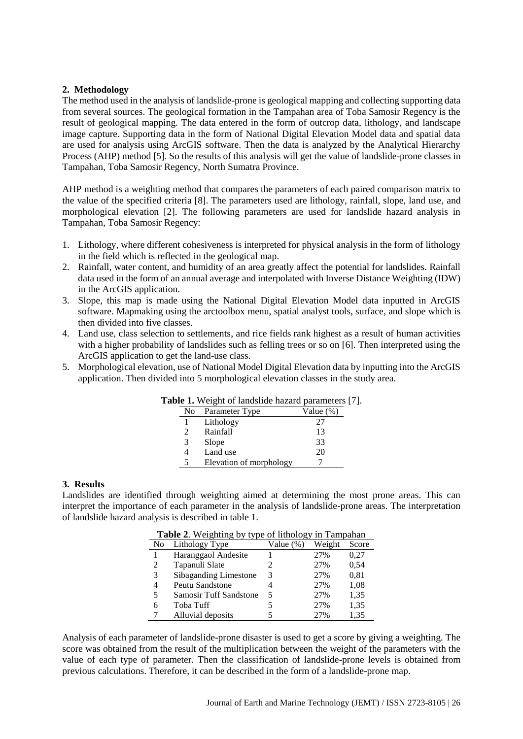### **2. Methodology**

The method used in the analysis of landslide-prone is geological mapping and collecting supporting data from several sources. The geological formation in the Tampahan area of Toba Samosir Regency is the result of geological mapping. The data entered in the form of outcrop data, lithology, and landscape image capture. Supporting data in the form of National Digital Elevation Model data and spatial data are used for analysis using ArcGIS software. Then the data is analyzed by the Analytical Hierarchy Process (AHP) method [5]. So the results of this analysis will get the value of landslide-prone classes in Tampahan, Toba Samosir Regency, North Sumatra Province.

AHP method is a weighting method that compares the parameters of each paired comparison matrix to the value of the specified criteria [8]. The parameters used are lithology, rainfall, slope, land use, and morphological elevation [2]. The following parameters are used for landslide hazard analysis in Tampahan, Toba Samosir Regency:

- 1. Lithology, where different cohesiveness is interpreted for physical analysis in the form of lithology in the field which is reflected in the geological map.
- 2. Rainfall, water content, and humidity of an area greatly affect the potential for landslides. Rainfall data used in the form of an annual average and interpolated with Inverse Distance Weighting (IDW) in the ArcGIS application.
- 3. Slope, this map is made using the National Digital Elevation Model data inputted in ArcGIS software. Mapmaking using the arctoolbox menu, spatial analyst tools, surface, and slope which is then divided into five classes.
- 4. Land use, class selection to settlements, and rice fields rank highest as a result of human activities with a higher probability of landslides such as felling trees or so on [6]. Then interpreted using the ArcGIS application to get the land-use class.
- 5. Morphological elevation, use of National Model Digital Elevation data by inputting into the ArcGIS application. Then divided into 5 morphological elevation classes in the study area.

|               | <b>Die 1.</b> Weight of fanushue hazaru parameters |           |
|---------------|----------------------------------------------------|-----------|
| No.           | Parameter Type                                     | Value (%) |
|               | Lithology                                          | 27        |
| $\mathcal{L}$ | Rainfall                                           | 13        |
| 3             | Slope                                              | 33        |
| 4             | Land use                                           | 20        |
| 5             | Elevation of morphology                            |           |

# **Table 1.** Weight of landslide hazard parameters [7].

#### **3. Results**

Landslides are identified through weighting aimed at determining the most prone areas. This can interpret the importance of each parameter in the analysis of landslide-prone areas. The interpretation of landslide hazard analysis is described in table 1.

| No             | Lithology Type                | Value $(\%)$ | Weight | Score |
|----------------|-------------------------------|--------------|--------|-------|
|                | Haranggaol Andesite           |              | 27%    | 0.27  |
| $\mathfrak{D}$ | Tapanuli Slate                |              | 27%    | 0.54  |
| 3              | Sibaganding Limestone         | 3            | 27%    | 0,81  |
| 4              | Peutu Sandstone               |              | 27%    | 1,08  |
| 5              | <b>Samosir Tuff Sandstone</b> | 5            | 27%    | 1,35  |
| 6              | Toba Tuff                     |              | 27%    | 1,35  |
|                | Alluvial deposits             |              | 2.7%   | 1.35  |

## **Table 2**. Weighting by type of lithology in Tampahan

Analysis of each parameter of landslide-prone disaster is used to get a score by giving a weighting. The score was obtained from the result of the multiplication between the weight of the parameters with the value of each type of parameter. Then the classification of landslide-prone levels is obtained from previous calculations. Therefore, it can be described in the form of a landslide-prone map.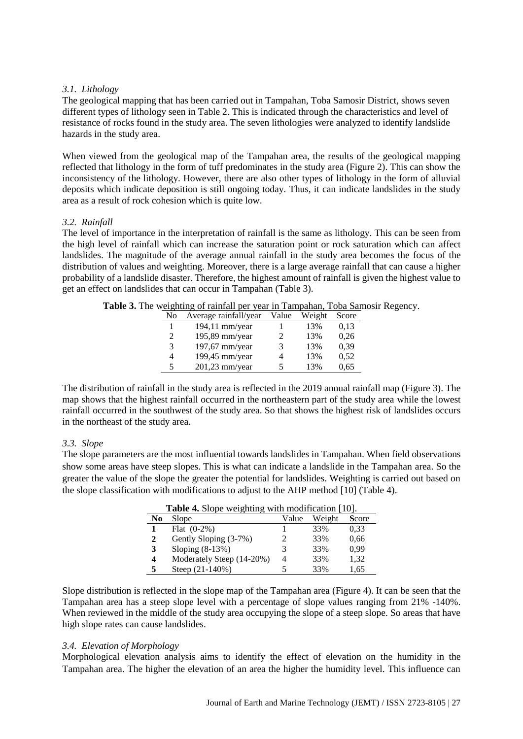### *3.1. Lithology*

The geological mapping that has been carried out in Tampahan, Toba Samosir District, shows seven different types of lithology seen in Table 2. This is indicated through the characteristics and level of resistance of rocks found in the study area. The seven lithologies were analyzed to identify landslide hazards in the study area.

When viewed from the geological map of the Tampahan area, the results of the geological mapping reflected that lithology in the form of tuff predominates in the study area (Figure 2). This can show the inconsistency of the lithology. However, there are also other types of lithology in the form of alluvial deposits which indicate deposition is still ongoing today. Thus, it can indicate landslides in the study area as a result of rock cohesion which is quite low.

#### *3.2. Rainfall*

The level of importance in the interpretation of rainfall is the same as lithology. This can be seen from the high level of rainfall which can increase the saturation point or rock saturation which can affect landslides. The magnitude of the average annual rainfall in the study area becomes the focus of the distribution of values and weighting. Moreover, there is a large average rainfall that can cause a higher probability of a landslide disaster. Therefore, the highest amount of rainfall is given the highest value to get an effect on landslides that can occur in Tampahan (Table 3).

| No | Average rainfall/year | Value | Weight | Score |
|----|-----------------------|-------|--------|-------|
|    | $194,11$ mm/year      |       | 13%    | 0.13  |
| 2  | 195,89 mm/year        |       | 13%    | 0,26  |
| 3  | 197,67 mm/year        |       | 13%    | 0,39  |
| 4  | 199,45 mm/year        |       | 13%    | 0,52  |
| 5  | 201,23 mm/year        | 5     | 13%    | 0,65  |

**Table 3.** The weighting of rainfall per year in Tampahan, Toba Samosir Regency.

The distribution of rainfall in the study area is reflected in the 2019 annual rainfall map (Figure 3). The map shows that the highest rainfall occurred in the northeastern part of the study area while the lowest rainfall occurred in the southwest of the study area. So that shows the highest risk of landslides occurs in the northeast of the study area.

#### *3.3. Slope*

The slope parameters are the most influential towards landslides in Tampahan. When field observations show some areas have steep slopes. This is what can indicate a landslide in the Tampahan area. So the greater the value of the slope the greater the potential for landslides. Weighting is carried out based on the slope classification with modifications to adjust to the AHP method [10] (Table 4).

|    | <b>Table 4.</b> Slope weighting with inourtication $[10]$ . |       |        |       |
|----|-------------------------------------------------------------|-------|--------|-------|
| No | Slope                                                       | Value | Weight | Score |
|    | Flat $(0-2%)$                                               |       | 33%    | 0.33  |
| 2  | Gently Sloping (3-7%)                                       |       | 33%    | 0.66  |
| 3  | Sloping $(8-13%)$                                           |       | 33%    | 0.99  |
| 4  | Moderately Steep (14-20%)                                   | 4     | 33%    | 1,32  |
| 5  | Steep $(21-140%)$                                           |       | 33%    | 1.65  |

**Table 4.** Slope weighting with modification [10].

Slope distribution is reflected in the slope map of the Tampahan area (Figure 4). It can be seen that the Tampahan area has a steep slope level with a percentage of slope values ranging from 21% -140%. When reviewed in the middle of the study area occupying the slope of a steep slope. So areas that have high slope rates can cause landslides.

### *3.4. Elevation of Morphology*

Morphological elevation analysis aims to identify the effect of elevation on the humidity in the Tampahan area. The higher the elevation of an area the higher the humidity level. This influence can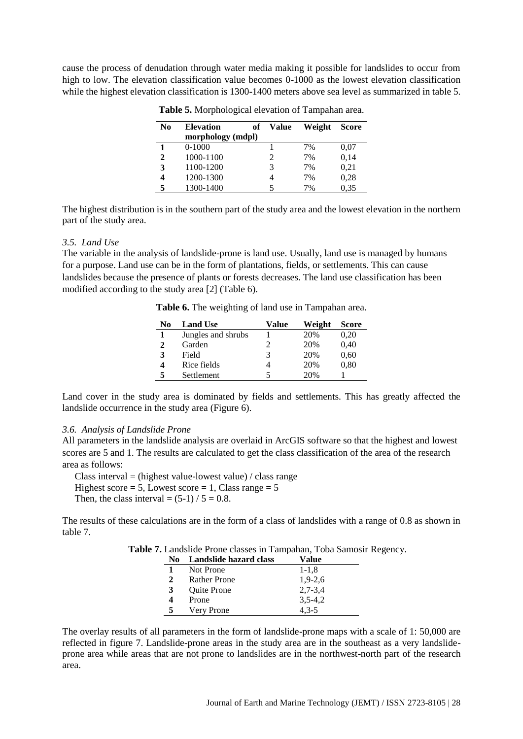cause the process of denudation through water media making it possible for landslides to occur from high to low. The elevation classification value becomes 0-1000 as the lowest elevation classification while the highest elevation classification is 1300-1400 meters above sea level as summarized in table 5.

| N <sub>0</sub> | <b>Elevation</b><br>of<br>morphology (mdpl) | <b>Value</b> | Weight | <b>Score</b> |
|----------------|---------------------------------------------|--------------|--------|--------------|
|                | $0-1000$                                    |              | 7%     | 0.07         |
| $\mathbf{2}$   | 1000-1100                                   | 2            | 7%     | 0,14         |
| 3              | 1100-1200                                   | 3            | 7%     | 0,21         |
|                | 1200-1300                                   | 4            | 7%     | 0,28         |
| 5              | 1300-1400                                   |              | 7%     | 0,35         |

**Table 5.** Morphological elevation of Tampahan area.

The highest distribution is in the southern part of the study area and the lowest elevation in the northern part of the study area.

#### *3.5. Land Use*

The variable in the analysis of landslide-prone is land use. Usually, land use is managed by humans for a purpose. Land use can be in the form of plantations, fields, or settlements. This can cause landslides because the presence of plants or forests decreases. The land use classification has been modified according to the study area [2] (Table 6).

**Table 6.** The weighting of land use in Tampahan area.

| No | <b>Land Use</b>    | Value | Weight | <b>Score</b> |
|----|--------------------|-------|--------|--------------|
|    | Jungles and shrubs |       | 20%    | 0,20         |
| 2  | Garden             | 2     | 20%    | 0,40         |
| 3  | Field              | 3     | 20%    | 0,60         |
| 4  | Rice fields        |       | 20%    | 0,80         |
| 5  | Settlement         |       | 20%    |              |

Land cover in the study area is dominated by fields and settlements. This has greatly affected the landslide occurrence in the study area (Figure 6).

#### *3.6. Analysis of Landslide Prone*

All parameters in the landslide analysis are overlaid in ArcGIS software so that the highest and lowest scores are 5 and 1. The results are calculated to get the class classification of the area of the research area as follows:

Class interval = (highest value-lowest value) / class range Highest score = 5, Lowest score = 1, Class range =  $5$ Then, the class interval =  $(5-1)$  /  $5 = 0.8$ .

The results of these calculations are in the form of a class of landslides with a range of 0.8 as shown in table 7.

|  |  |  | Table 7. Landslide Prone classes in Tampahan, Toba Samosir Regency. |  |  |
|--|--|--|---------------------------------------------------------------------|--|--|
|  |  |  | .                                                                   |  |  |

| No. | Landslide hazard class | Value       |
|-----|------------------------|-------------|
|     | Not Prone              | $1 - 1, 8$  |
| 2   | <b>Rather Prone</b>    | $1.9 - 2.6$ |
| 3   | <b>Ouite Prone</b>     | $2,7-3,4$   |
| 4   | Prone                  | $3,5-4,2$   |
| 5   | Very Prone             | $4.3 - 5$   |

The overlay results of all parameters in the form of landslide-prone maps with a scale of 1: 50,000 are reflected in figure 7. Landslide-prone areas in the study area are in the southeast as a very landslideprone area while areas that are not prone to landslides are in the northwest-north part of the research area.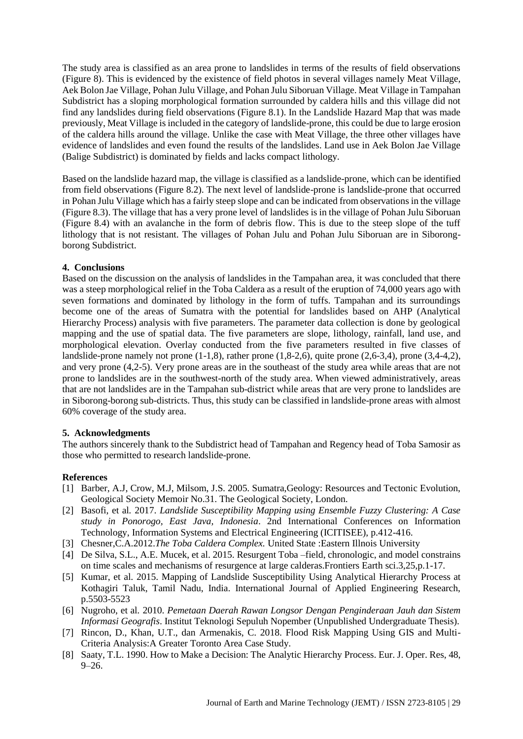The study area is classified as an area prone to landslides in terms of the results of field observations (Figure 8). This is evidenced by the existence of field photos in several villages namely Meat Village, Aek Bolon Jae Village, Pohan Julu Village, and Pohan Julu Siboruan Village. Meat Village in Tampahan Subdistrict has a sloping morphological formation surrounded by caldera hills and this village did not find any landslides during field observations (Figure 8.1). In the Landslide Hazard Map that was made previously, Meat Village is included in the category of landslide-prone, this could be due to large erosion of the caldera hills around the village. Unlike the case with Meat Village, the three other villages have evidence of landslides and even found the results of the landslides. Land use in Aek Bolon Jae Village (Balige Subdistrict) is dominated by fields and lacks compact lithology.

Based on the landslide hazard map, the village is classified as a landslide-prone, which can be identified from field observations (Figure 8.2). The next level of landslide-prone is landslide-prone that occurred in Pohan Julu Village which has a fairly steep slope and can be indicated from observations in the village (Figure 8.3). The village that has a very prone level of landslides is in the village of Pohan Julu Siboruan (Figure 8.4) with an avalanche in the form of debris flow. This is due to the steep slope of the tuff lithology that is not resistant. The villages of Pohan Julu and Pohan Julu Siboruan are in Siborongborong Subdistrict.

### **4. Conclusions**

Based on the discussion on the analysis of landslides in the Tampahan area, it was concluded that there was a steep morphological relief in the Toba Caldera as a result of the eruption of 74,000 years ago with seven formations and dominated by lithology in the form of tuffs. Tampahan and its surroundings become one of the areas of Sumatra with the potential for landslides based on AHP (Analytical Hierarchy Process) analysis with five parameters. The parameter data collection is done by geological mapping and the use of spatial data. The five parameters are slope, lithology, rainfall, land use, and morphological elevation. Overlay conducted from the five parameters resulted in five classes of landslide-prone namely not prone (1-1,8), rather prone (1,8-2,6), quite prone (2,6-3,4), prone (3,4-4,2), and very prone (4,2-5). Very prone areas are in the southeast of the study area while areas that are not prone to landslides are in the southwest-north of the study area. When viewed administratively, areas that are not landslides are in the Tampahan sub-district while areas that are very prone to landslides are in Siborong-borong sub-districts. Thus, this study can be classified in landslide-prone areas with almost 60% coverage of the study area.

### **5. Acknowledgments**

The authors sincerely thank to the Subdistrict head of Tampahan and Regency head of Toba Samosir as those who permitted to research landslide-prone.

### **References**

- [1] Barber, A.J, Crow, M.J, Milsom, J.S. 2005. Sumatra,Geology: Resources and Tectonic Evolution, Geological Society Memoir No.31. The Geological Society, London.
- [2] Basofi, et al*.* 2017. *Landslide Susceptibility Mapping using Ensemble Fuzzy Clustering: A Case study in Ponorogo, East Java, Indonesia*. 2nd International Conferences on Information Technology, Information Systems and Electrical Engineering (ICITISEE), p.412-416.
- [3] Chesner,C.A.2012.*The Toba Caldera Complex.* United State :Eastern Illnois University
- [4] De Silva, S.L., A.E. Mucek, et al. 2015. Resurgent Toba –field, chronologic, and model constrains on time scales and mechanisms of resurgence at large calderas.Frontiers Earth sci.3,25,p.1-17.
- [5] Kumar, et al. 2015. Mapping of Landslide Susceptibility Using Analytical Hierarchy Process at Kothagiri Taluk, Tamil Nadu, India. International Journal of Applied Engineering Research, p.5503-5523
- [6] Nugroho, et al*.* 2010. *Pemetaan Daerah Rawan Longsor Dengan Penginderaan Jauh dan Sistem Informasi Geografis*. Institut Teknologi Sepuluh Nopember (Unpublished Undergraduate Thesis).
- [7] Rincon, D., Khan, U.T., dan Armenakis, C. 2018. Flood Risk Mapping Using GIS and Multi-Criteria Analysis:A Greater Toronto Area Case Study.
- [8] Saaty, T.L. 1990. How to Make a Decision: The Analytic Hierarchy Process. Eur. J. Oper. Res, 48,  $9 - 26.$